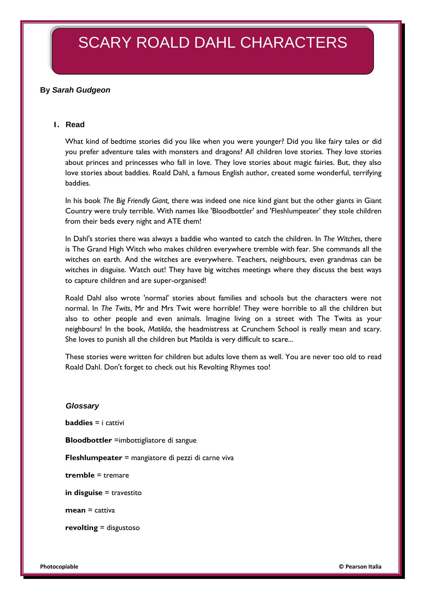# SCARY ROALD DAHL CHARACTERS

## **By** *Sarah Gudgeon*

#### **1. Read**

What kind of bedtime stories did you like when you were younger? Did you like fairy tales or did you prefer adventure tales with monsters and dragons? All children love stories. They love stories about princes and princesses who fall in love. They love stories about magic fairies. But, they also love stories about baddies. Roald Dahl, a famous English author, created some wonderful, terrifying baddies.

In his book *The Big Friendly Giant,* there was indeed one nice kind giant but the other giants in Giant Country were truly terrible. With names like 'Bloodbottler' and 'Fleshlumpeater' they stole children from their beds every night and ATE them!

In Dahl's stories there was always a baddie who wanted to catch the children. In *The Witches*, there is The Grand High Witch who makes children everywhere tremble with fear. She commands all the witches on earth. And the witches are everywhere. Teachers, neighbours, even grandmas can be witches in disguise. Watch out! They have big witches meetings where they discuss the best ways to capture children and are super-organised!

Roald Dahl also wrote 'normal' stories about families and schools but the characters were not normal. In *The Twits*, Mr and Mrs Twit were horrible! They were horrible to all the children but also to other people and even animals. Imagine living on a street with The Twits as your neighbours! In the book, *Matilda*, the headmistress at Crunchem School is really mean and scary. She loves to punish all the children but Matilda is very difficult to scare...

These stories were written for children but adults love them as well. You are never too old to read Roald Dahl. Don't forget to check out his Revolting Rhymes too!

#### *Glossary*

**baddies** = i cattivi

**Bloodbottler** =imbottigliatore di sangue

**Fleshlumpeater** = mangiatore di pezzi di carne viva

**tremble** = tremare

**in disguise** = travestito

**mean** = cattiva

**revolting** = disgustoso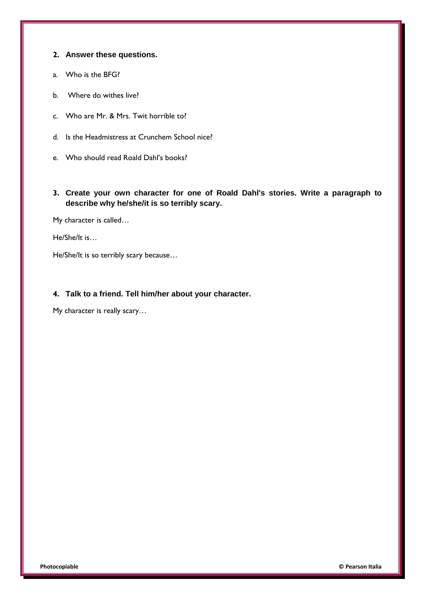#### **2. Answer these questions.**

- a. Who is the BFG?
- b. Where do withes live?
- c. Who are Mr. & Mrs. Twit horrible to?
- d. Is the Headmistress at Crunchem School nice?
- e. Who should read Roald Dahl's books?
- **3. Create your own character for one of Roald Dahl's stories. Write a paragraph to describe why he/she/it is so terribly scary.**

My character is called…

He/She/It is…

He/She/It is so terribly scary because…

#### **4. Talk to a friend. Tell him/her about your character.**

My character is really scary…